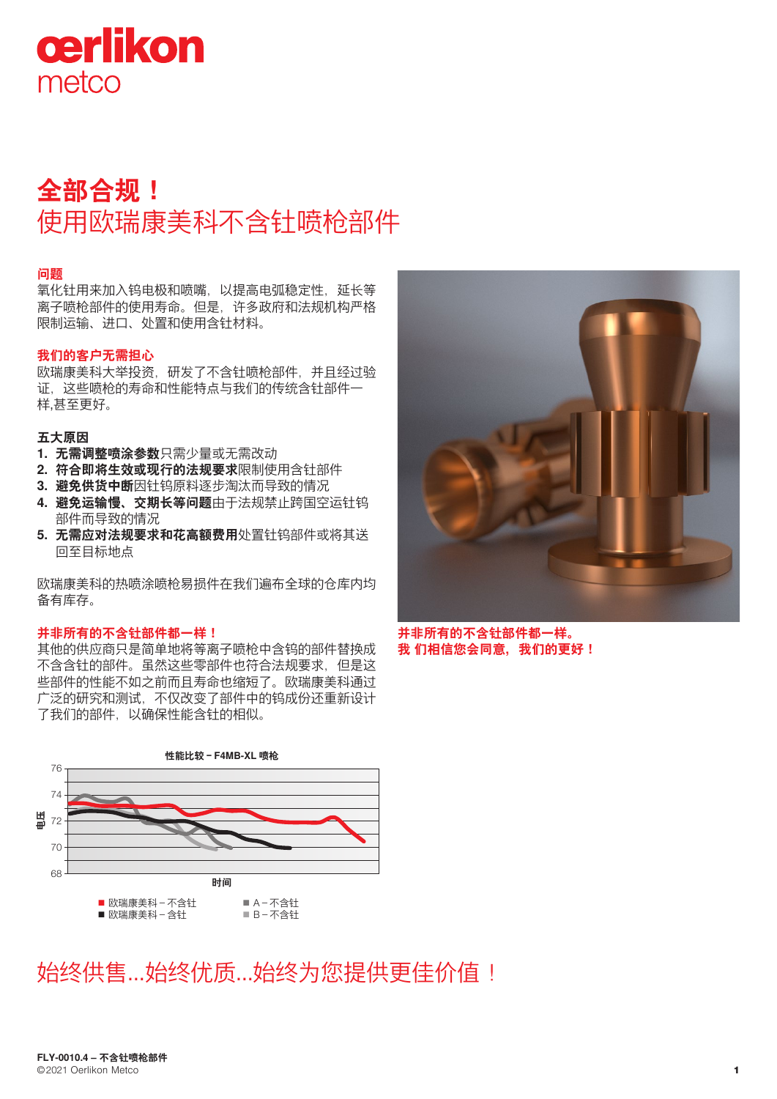

# **全部合规!** 使用欧瑞康美科不含钍喷枪部件

## **问题**

氧化钍用来加入钨电极和喷嘴,以提高电弧稳定性,延长等 离子喷枪部件的使用寿命。但是,许多政府和法规机构严格 限制运输、进口、处置和使用含钍材料。

## **我们的客户无需担心**

欧瑞康美科大举投资,研发了不含钍喷枪部件,并且经过验 证,这些喷枪的寿命和性能特点与我们的传统含钍部件一 样,甚至更好。

## **五大原因**

- **1. 无需调整喷涂参数**只需少量或无需改动
- **2. 符合即将生效或现行的法规要求**限制使用含钍部件
- **3. 避免供货中断**因钍钨原料逐步淘汰而导致的情况
- **4. 避免运输慢、交期长等问题**由于法规禁止跨国空运钍钨 部件而导致的情况
- **5. 无需应对法规要求和花高额费用**处置钍钨部件或将其送 回至目标地点

欧瑞康美科的热喷涂喷枪易损件在我们遍布全球的仓库内均 备有库存。

#### **并非所有的不含钍部件都一样!**

其他的供应商只是简单地将等离子喷枪中含钨的部件替换成 不含含钍的部件。虽然这些零部件也符合法规要求,但是这 些部件的性能不如之前而且寿命也缩短了。欧瑞康美科通过 广泛的研究和测试,不仅改变了部件中的钨成份还重新设计 了我们的部件,以确保性能含钍的相似。







**并非所有的不含钍部件都一样。 我 们相信您会同意,我们的更好!**